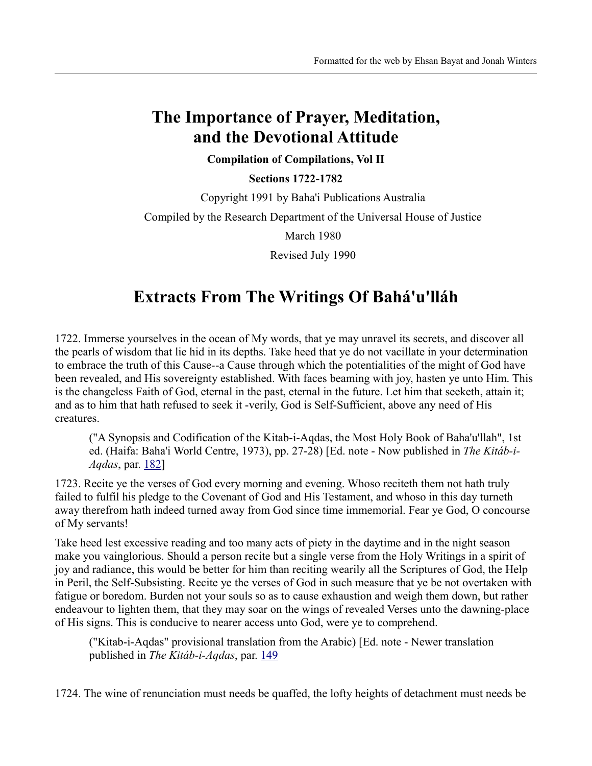## **The Importance of Prayer, Meditation, and the Devotional Attitude**

**Compilation of Compilations, Vol II**

**Sections 1722-1782**

Copyright 1991 by Baha'i Publications Australia

Compiled by the Research Department of the Universal House of Justice

March 1980

Revised July 1990

### **Extracts From The Writings Of Bahá'u'lláh**

1722. Immerse yourselves in the ocean of My words, that ye may unravel its secrets, and discover all the pearls of wisdom that lie hid in its depths. Take heed that ye do not vacillate in your determination to embrace the truth of this Cause--a Cause through which the potentialities of the might of God have been revealed, and His sovereignty established. With faces beaming with joy, hasten ye unto Him. This is the changeless Faith of God, eternal in the past, eternal in the future. Let him that seeketh, attain it; and as to him that hath refused to seek it -verily, God is Self-Sufficient, above any need of His creatures.

("A Synopsis and Codification of the Kitab-i-Aqdas, the Most Holy Book of Baha'u'llah", 1st ed. (Haifa: Baha'i World Centre, 1973), pp. 27-28) [Ed. note - Now published in *The Kitáb-i-Aqdas*, par. [182\]](http://www.bahai-library.com/writings/bahaullah/aqdas/aqdas2/K182.htm)

1723. Recite ye the verses of God every morning and evening. Whoso reciteth them not hath truly failed to fulfil his pledge to the Covenant of God and His Testament, and whoso in this day turneth away therefrom hath indeed turned away from God since time immemorial. Fear ye God, O concourse of My servants!

Take heed lest excessive reading and too many acts of piety in the daytime and in the night season make you vainglorious. Should a person recite but a single verse from the Holy Writings in a spirit of joy and radiance, this would be better for him than reciting wearily all the Scriptures of God, the Help in Peril, the Self-Subsisting. Recite ye the verses of God in such measure that ye be not overtaken with fatigue or boredom. Burden not your souls so as to cause exhaustion and weigh them down, but rather endeavour to lighten them, that they may soar on the wings of revealed Verses unto the dawning-place of His signs. This is conducive to nearer access unto God, were ye to comprehend.

("Kitab-i-Aqdas" provisional translation from the Arabic) [Ed. note - Newer translation published in *The Kitáb-i-Aqdas*, par. [149](http://www.bahai-library.com/writings/bahaullah/aqdas/aqdas2/K149.htm)

1724. The wine of renunciation must needs be quaffed, the lofty heights of detachment must needs be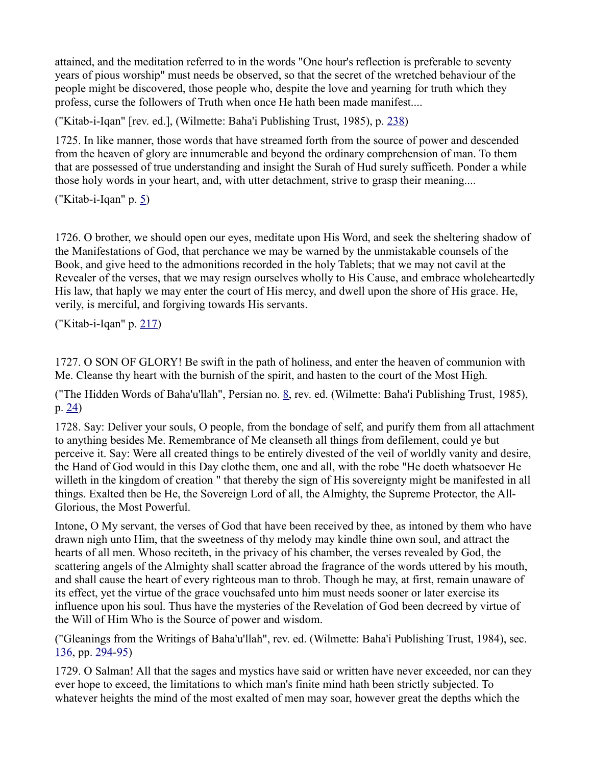attained, and the meditation referred to in the words "One hour's reflection is preferable to seventy years of pious worship" must needs be observed, so that the secret of the wretched behaviour of the people might be discovered, those people who, despite the love and yearning for truth which they profess, curse the followers of Truth when once He hath been made manifest....

("Kitab-i-Iqan" [rev. ed.], (Wilmette: Baha'i Publishing Trust, 1985), p. [238\)](http://www.bahai-library.com/writings/bahaullah/iqan/iq-2.htm#238)

1725. In like manner, those words that have streamed forth from the source of power and descended from the heaven of glory are innumerable and beyond the ordinary comprehension of man. To them that are possessed of true understanding and insight the Surah of Hud surely sufficeth. Ponder a while those holy words in your heart, and, with utter detachment, strive to grasp their meaning....

("Kitab-i-Iqan" p. [5\)](http://www.bahai-library.com/writings/bahaullah/iqan/iq-1.htm#005)

1726. O brother, we should open our eyes, meditate upon His Word, and seek the sheltering shadow of the Manifestations of God, that perchance we may be warned by the unmistakable counsels of the Book, and give heed to the admonitions recorded in the holy Tablets; that we may not cavil at the Revealer of the verses, that we may resign ourselves wholly to His Cause, and embrace wholeheartedly His law, that haply we may enter the court of His mercy, and dwell upon the shore of His grace. He, verily, is merciful, and forgiving towards His servants.

("Kitab-i-Iqan" p. [217\)](http://www.bahai-library.com/writings/bahaullah/iqan/iq-2.htm#217)

1727. O SON OF GLORY! Be swift in the path of holiness, and enter the heaven of communion with Me. Cleanse thy heart with the burnish of the spirit, and hasten to the court of the Most High.

("The Hidden Words of Baha'u'llah", Persian no. [8,](http://www.bahai-library.com/writings/bahaullah/hw/persian/8.html) rev. ed. (Wilmette: Baha'i Publishing Trust, 1985),  $p. 24)$  $p. 24)$ 

1728. Say: Deliver your souls, O people, from the bondage of self, and purify them from all attachment to anything besides Me. Remembrance of Me cleanseth all things from defilement, could ye but perceive it. Say: Were all created things to be entirely divested of the veil of worldly vanity and desire, the Hand of God would in this Day clothe them, one and all, with the robe "He doeth whatsoever He willeth in the kingdom of creation " that thereby the sign of His sovereignty might be manifested in all things. Exalted then be He, the Sovereign Lord of all, the Almighty, the Supreme Protector, the All-Glorious, the Most Powerful.

Intone, O My servant, the verses of God that have been received by thee, as intoned by them who have drawn nigh unto Him, that the sweetness of thy melody may kindle thine own soul, and attract the hearts of all men. Whoso reciteth, in the privacy of his chamber, the verses revealed by God, the scattering angels of the Almighty shall scatter abroad the fragrance of the words uttered by his mouth, and shall cause the heart of every righteous man to throb. Though he may, at first, remain unaware of its effect, yet the virtue of the grace vouchsafed unto him must needs sooner or later exercise its influence upon his soul. Thus have the mysteries of the Revelation of God been decreed by virtue of the Will of Him Who is the Source of power and wisdom.

("Gleanings from the Writings of Baha'u'llah", rev. ed. (Wilmette: Baha'i Publishing Trust, 1984), sec. [136,](http://www.bahai-library.com/writings/bahaullah/gwb/136.html) pp. [294-](http://www.bahai-library.com/writings/bahaullah/gwb/gleaningsall.html#294)[95\)](http://www.bahai-library.com/writings/bahaullah/gwb/gleaningsall.html#295)

1729. O Salman! All that the sages and mystics have said or written have never exceeded, nor can they ever hope to exceed, the limitations to which man's finite mind hath been strictly subjected. To whatever heights the mind of the most exalted of men may soar, however great the depths which the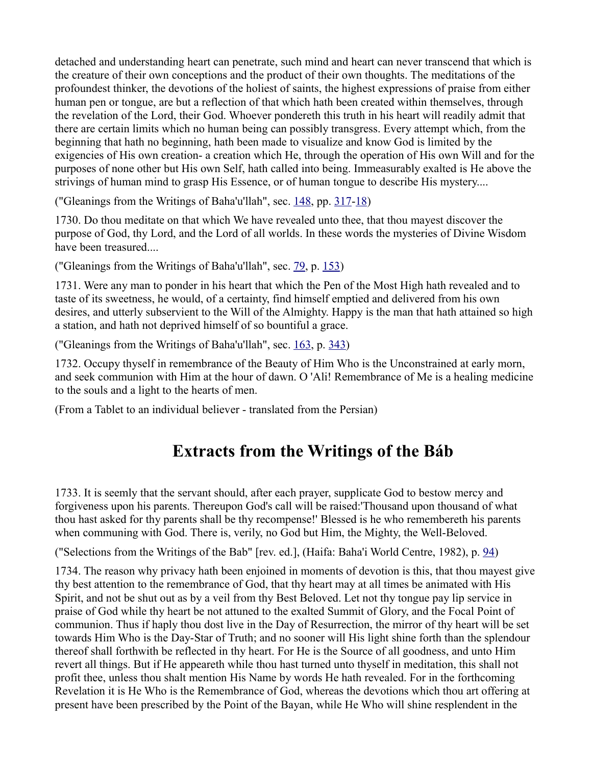detached and understanding heart can penetrate, such mind and heart can never transcend that which is the creature of their own conceptions and the product of their own thoughts. The meditations of the profoundest thinker, the devotions of the holiest of saints, the highest expressions of praise from either human pen or tongue, are but a reflection of that which hath been created within themselves, through the revelation of the Lord, their God. Whoever pondereth this truth in his heart will readily admit that there are certain limits which no human being can possibly transgress. Every attempt which, from the beginning that hath no beginning, hath been made to visualize and know God is limited by the exigencies of His own creation- a creation which He, through the operation of His own Will and for the purposes of none other but His own Self, hath called into being. Immeasurably exalted is He above the strivings of human mind to grasp His Essence, or of human tongue to describe His mystery....

("Gleanings from the Writings of Baha'u'llah", sec. [148,](http://www.bahai-library.com/writings/bahaullah/gwb/148.html) pp. [317](http://www.bahai-library.com/writings/bahaullah/gwb/gleaningsall.html#317)[-18\)](http://www.bahai-library.com/writings/bahaullah/gwb/gleaningsall.html#318)

1730. Do thou meditate on that which We have revealed unto thee, that thou mayest discover the purpose of God, thy Lord, and the Lord of all worlds. In these words the mysteries of Divine Wisdom have been treasured....

("Gleanings from the Writings of Baha'u'llah", sec. [79,](http://www.bahai-library.com/writings/bahaullah/gwb/079.html) p. [153\)](http://www.bahai-library.com/writings/bahaullah/gwb/gleaningsall.html#153)

1731. Were any man to ponder in his heart that which the Pen of the Most High hath revealed and to taste of its sweetness, he would, of a certainty, find himself emptied and delivered from his own desires, and utterly subservient to the Will of the Almighty. Happy is the man that hath attained so high a station, and hath not deprived himself of so bountiful a grace.

("Gleanings from the Writings of Baha'u'llah", sec. [163,](http://www.bahai-library.com/writings/bahaullah/gwb/163.html) p. [343\)](http://www.bahai-library.com/writings/bahaullah/gwb/gleaningsall.html#343)

1732. Occupy thyself in remembrance of the Beauty of Him Who is the Unconstrained at early morn, and seek communion with Him at the hour of dawn. O 'Ali! Remembrance of Me is a healing medicine to the souls and a light to the hearts of men.

(From a Tablet to an individual believer - translated from the Persian)

## **Extracts from the Writings of the Báb**

1733. It is seemly that the servant should, after each prayer, supplicate God to bestow mercy and forgiveness upon his parents. Thereupon God's call will be raised:'Thousand upon thousand of what thou hast asked for thy parents shall be thy recompense!' Blessed is he who remembereth his parents when communing with God. There is, verily, no God but Him, the Mighty, the Well-Beloved.

("Selections from the Writings of the Bab" [rev. ed.], (Haifa: Baha'i World Centre, 1982), p. [94\)](http://www.bahai-library.com/writings/bab/swb/swball.html#94)

1734. The reason why privacy hath been enjoined in moments of devotion is this, that thou mayest give thy best attention to the remembrance of God, that thy heart may at all times be animated with His Spirit, and not be shut out as by a veil from thy Best Beloved. Let not thy tongue pay lip service in praise of God while thy heart be not attuned to the exalted Summit of Glory, and the Focal Point of communion. Thus if haply thou dost live in the Day of Resurrection, the mirror of thy heart will be set towards Him Who is the Day-Star of Truth; and no sooner will His light shine forth than the splendour thereof shall forthwith be reflected in thy heart. For He is the Source of all goodness, and unto Him revert all things. But if He appeareth while thou hast turned unto thyself in meditation, this shall not profit thee, unless thou shalt mention His Name by words He hath revealed. For in the forthcoming Revelation it is He Who is the Remembrance of God, whereas the devotions which thou art offering at present have been prescribed by the Point of the Bayan, while He Who will shine resplendent in the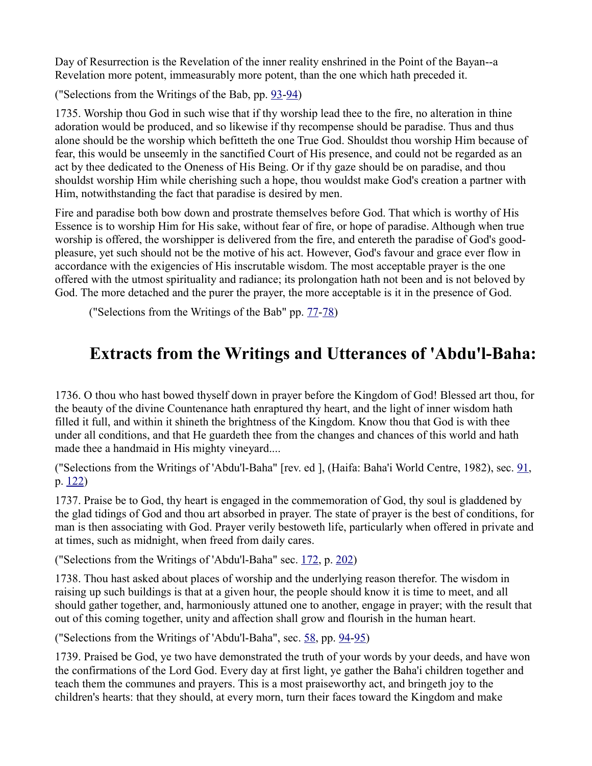Day of Resurrection is the Revelation of the inner reality enshrined in the Point of the Bayan--a Revelation more potent, immeasurably more potent, than the one which hath preceded it.

("Selections from the Writings of the Bab, pp. [93-](http://www.bahai-library.com/writings/bab/swb/swball.html#93)[94\)](http://www.bahai-library.com/writings/bab/swb/swball.html#94)

1735. Worship thou God in such wise that if thy worship lead thee to the fire, no alteration in thine adoration would be produced, and so likewise if thy recompense should be paradise. Thus and thus alone should be the worship which befitteth the one True God. Shouldst thou worship Him because of fear, this would be unseemly in the sanctified Court of His presence, and could not be regarded as an act by thee dedicated to the Oneness of His Being. Or if thy gaze should be on paradise, and thou shouldst worship Him while cherishing such a hope, thou wouldst make God's creation a partner with Him, notwithstanding the fact that paradise is desired by men.

Fire and paradise both bow down and prostrate themselves before God. That which is worthy of His Essence is to worship Him for His sake, without fear of fire, or hope of paradise. Although when true worship is offered, the worshipper is delivered from the fire, and entereth the paradise of God's goodpleasure, yet such should not be the motive of his act. However, God's favour and grace ever flow in accordance with the exigencies of His inscrutable wisdom. The most acceptable prayer is the one offered with the utmost spirituality and radiance; its prolongation hath not been and is not beloved by God. The more detached and the purer the prayer, the more acceptable is it in the presence of God.

("Selections from the Writings of the Bab" pp. [77](http://www.bahai-library.com/writings/bab/swb/swball.html#77)[-78\)](http://www.bahai-library.com/writings/bab/swb/swball.html#78)

### **Extracts from the Writings and Utterances of 'Abdu'l-Baha:**

1736. O thou who hast bowed thyself down in prayer before the Kingdom of God! Blessed art thou, for the beauty of the divine Countenance hath enraptured thy heart, and the light of inner wisdom hath filled it full, and within it shineth the brightness of the Kingdom. Know thou that God is with thee under all conditions, and that He guardeth thee from the changes and chances of this world and hath made thee a handmaid in His mighty vineyard....

("Selections from the Writings of 'Abdu'l-Baha" [rev. ed ], (Haifa: Baha'i World Centre, 1982), sec. [91,](http://www.bahai-library.com/writings/abdulbaha/swab/091.html) p. [122\)](http://www.bahai-library.com/writings/abdulbaha/swab/swaball.html#122)

1737. Praise be to God, thy heart is engaged in the commemoration of God, thy soul is gladdened by the glad tidings of God and thou art absorbed in prayer. The state of prayer is the best of conditions, for man is then associating with God. Prayer verily bestoweth life, particularly when offered in private and at times, such as midnight, when freed from daily cares.

("Selections from the Writings of 'Abdu'l-Baha" sec. [172,](http://www.bahai-library.com/writings/abdulbaha/swab/172.html) p. [202\)](http://www.bahai-library.com/writings/abdulbaha/swab/swaball.html#202)

1738. Thou hast asked about places of worship and the underlying reason therefor. The wisdom in raising up such buildings is that at a given hour, the people should know it is time to meet, and all should gather together, and, harmoniously attuned one to another, engage in prayer; with the result that out of this coming together, unity and affection shall grow and flourish in the human heart.

("Selections from the Writings of 'Abdu'l-Baha", sec. [58,](http://www.bahai-library.com/writings/abdulbaha/swab/058.html) pp. [94-](http://www.bahai-library.com/writings/abdulbaha/swab/swaball.html#94)[95\)](http://www.bahai-library.com/writings/abdulbaha/swab/swaball.html#95)

1739. Praised be God, ye two have demonstrated the truth of your words by your deeds, and have won the confirmations of the Lord God. Every day at first light, ye gather the Baha'i children together and teach them the communes and prayers. This is a most praiseworthy act, and bringeth joy to the children's hearts: that they should, at every morn, turn their faces toward the Kingdom and make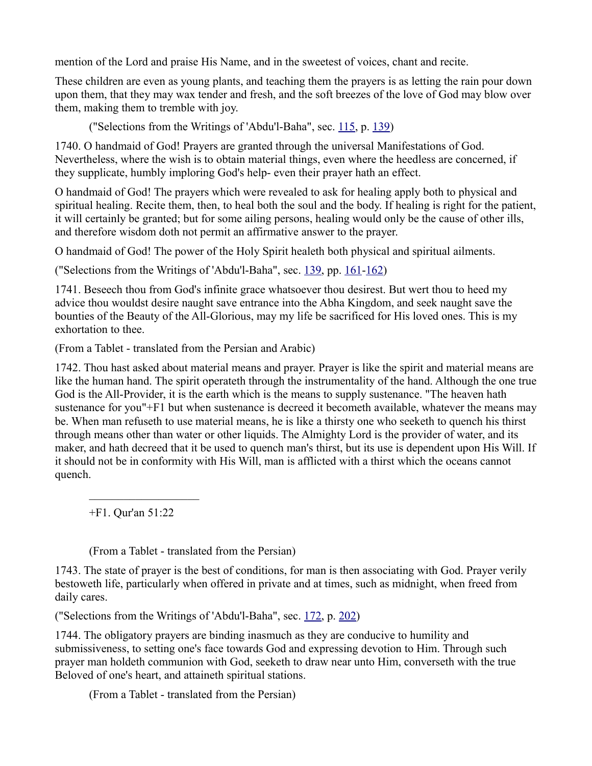mention of the Lord and praise His Name, and in the sweetest of voices, chant and recite.

These children are even as young plants, and teaching them the prayers is as letting the rain pour down upon them, that they may wax tender and fresh, and the soft breezes of the love of God may blow over them, making them to tremble with joy.

("Selections from the Writings of 'Abdu'l-Baha", sec. [115,](http://www.bahai-library.com/writings/abdulbaha/swab/115.html) p. [139\)](http://www.bahai-library.com/writings/abdulbaha/swab/swaball.html#139)

1740. O handmaid of God! Prayers are granted through the universal Manifestations of God. Nevertheless, where the wish is to obtain material things, even where the heedless are concerned, if they supplicate, humbly imploring God's help- even their prayer hath an effect.

O handmaid of God! The prayers which were revealed to ask for healing apply both to physical and spiritual healing. Recite them, then, to heal both the soul and the body. If healing is right for the patient, it will certainly be granted; but for some ailing persons, healing would only be the cause of other ills, and therefore wisdom doth not permit an affirmative answer to the prayer.

O handmaid of God! The power of the Holy Spirit healeth both physical and spiritual ailments.

("Selections from the Writings of 'Abdu'l-Baha", sec. [139,](http://www.bahai-library.com/writings/abdulbaha/swab/139.html) pp. [161-](http://www.bahai-library.com/writings/abdulbaha/swab/swaball.html#161)[162\)](http://www.bahai-library.com/writings/abdulbaha/swab/swaball.html#162)

1741. Beseech thou from God's infinite grace whatsoever thou desirest. But wert thou to heed my advice thou wouldst desire naught save entrance into the Abha Kingdom, and seek naught save the bounties of the Beauty of the All-Glorious, may my life be sacrificed for His loved ones. This is my exhortation to thee.

(From a Tablet - translated from the Persian and Arabic)

1742. Thou hast asked about material means and prayer. Prayer is like the spirit and material means are like the human hand. The spirit operateth through the instrumentality of the hand. Although the one true God is the All-Provider, it is the earth which is the means to supply sustenance. "The heaven hath sustenance for you"+F1 but when sustenance is decreed it becometh available, whatever the means may be. When man refuseth to use material means, he is like a thirsty one who seeketh to quench his thirst through means other than water or other liquids. The Almighty Lord is the provider of water, and its maker, and hath decreed that it be used to quench man's thirst, but its use is dependent upon His Will. If it should not be in conformity with His Will, man is afflicted with a thirst which the oceans cannot quench.

+F1. Qur'an 51:22

 $\overline{\phantom{a}}$  , where  $\overline{\phantom{a}}$ 

(From a Tablet - translated from the Persian)

1743. The state of prayer is the best of conditions, for man is then associating with God. Prayer verily bestoweth life, particularly when offered in private and at times, such as midnight, when freed from daily cares.

("Selections from the Writings of 'Abdu'l-Baha", sec. [172,](http://www.bahai-library.com/writings/abdulbaha/swab/172.html) p. [202\)](http://www.bahai-library.com/writings/abdulbaha/swab/swaball.html#202)

1744. The obligatory prayers are binding inasmuch as they are conducive to humility and submissiveness, to setting one's face towards God and expressing devotion to Him. Through such prayer man holdeth communion with God, seeketh to draw near unto Him, converseth with the true Beloved of one's heart, and attaineth spiritual stations.

(From a Tablet - translated from the Persian)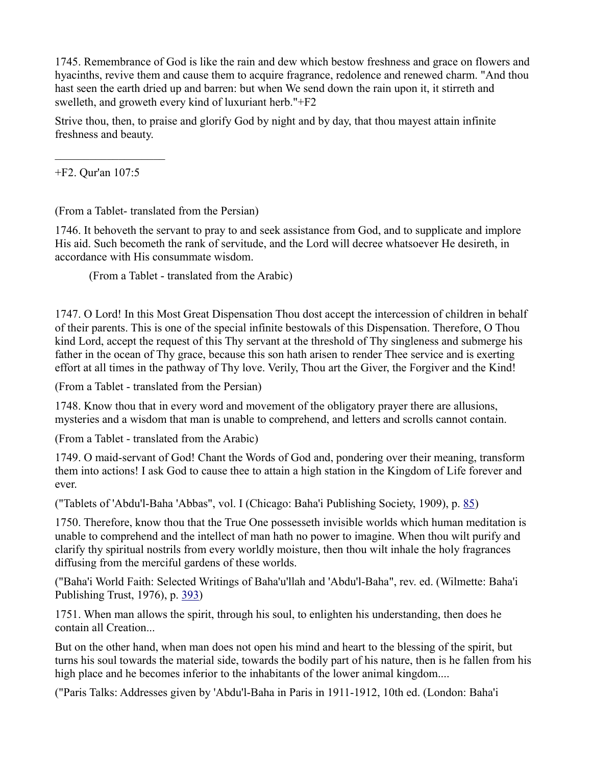1745. Remembrance of God is like the rain and dew which bestow freshness and grace on flowers and hyacinths, revive them and cause them to acquire fragrance, redolence and renewed charm. "And thou hast seen the earth dried up and barren: but when We send down the rain upon it, it stirreth and swelleth, and groweth every kind of luxuriant herb."+F2

Strive thou, then, to praise and glorify God by night and by day, that thou mayest attain infinite freshness and beauty.

+F2. Qur'an 107:5

 $\overline{\phantom{a}}$  , where  $\overline{\phantom{a}}$ 

(From a Tablet- translated from the Persian)

1746. It behoveth the servant to pray to and seek assistance from God, and to supplicate and implore His aid. Such becometh the rank of servitude, and the Lord will decree whatsoever He desireth, in accordance with His consummate wisdom.

(From a Tablet - translated from the Arabic)

1747. O Lord! In this Most Great Dispensation Thou dost accept the intercession of children in behalf of their parents. This is one of the special infinite bestowals of this Dispensation. Therefore, O Thou kind Lord, accept the request of this Thy servant at the threshold of Thy singleness and submerge his father in the ocean of Thy grace, because this son hath arisen to render Thee service and is exerting effort at all times in the pathway of Thy love. Verily, Thou art the Giver, the Forgiver and the Kind!

(From a Tablet - translated from the Persian)

1748. Know thou that in every word and movement of the obligatory prayer there are allusions, mysteries and a wisdom that man is unable to comprehend, and letters and scrolls cannot contain.

(From a Tablet - translated from the Arabic)

1749. O maid-servant of God! Chant the Words of God and, pondering over their meaning, transform them into actions! I ask God to cause thee to attain a high station in the Kingdom of Life forever and ever.

("Tablets of 'Abdu'l-Baha 'Abbas", vol. I (Chicago: Baha'i Publishing Society, 1909), p. [85\)](http://www.bahai-library.com/writings/abdulbaha/tab/1.html#85)

1750. Therefore, know thou that the True One possesseth invisible worlds which human meditation is unable to comprehend and the intellect of man hath no power to imagine. When thou wilt purify and clarify thy spiritual nostrils from every worldly moisture, then thou wilt inhale the holy fragrances diffusing from the merciful gardens of these worlds.

("Baha'i World Faith: Selected Writings of Baha'u'llah and 'Abdu'l-Baha", rev. ed. (Wilmette: Baha'i Publishing Trust, 1976), p. [393\)](http://www.bahai-library.com/compilations/bwf/bwf8.html#393)

1751. When man allows the spirit, through his soul, to enlighten his understanding, then does he contain all Creation...

But on the other hand, when man does not open his mind and heart to the blessing of the spirit, but turns his soul towards the material side, towards the bodily part of his nature, then is he fallen from his high place and he becomes inferior to the inhabitants of the lower animal kingdom....

("Paris Talks: Addresses given by 'Abdu'l-Baha in Paris in 1911-1912, 10th ed. (London: Baha'i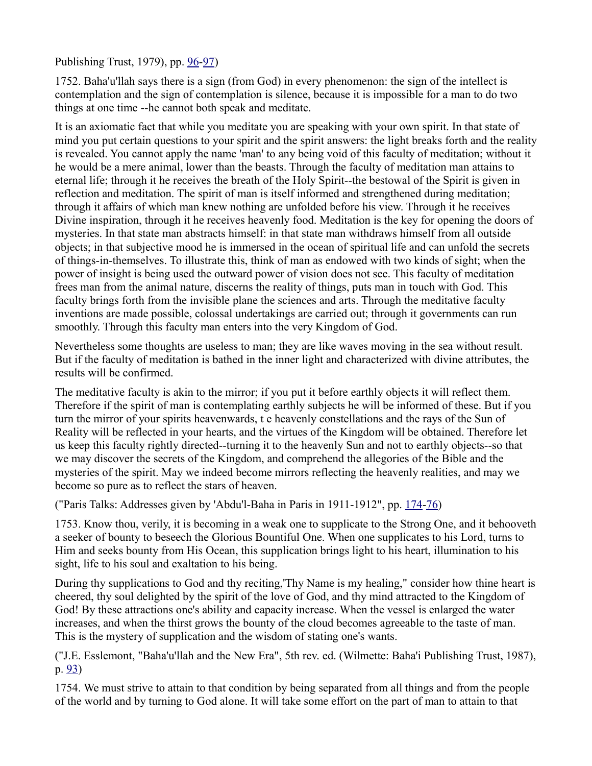Publishing Trust, 1979), pp. <u>96-97</u>)

1752. Baha'u'llah says there is a sign (from God) in every phenomenon: the sign of the intellect is contemplation and the sign of contemplation is silence, because it is impossible for a man to do two things at one time --he cannot both speak and meditate.

It is an axiomatic fact that while you meditate you are speaking with your own spirit. In that state of mind you put certain questions to your spirit and the spirit answers: the light breaks forth and the reality is revealed. You cannot apply the name 'man' to any being void of this faculty of meditation; without it he would be a mere animal, lower than the beasts. Through the faculty of meditation man attains to eternal life; through it he receives the breath of the Holy Spirit--the bestowal of the Spirit is given in reflection and meditation. The spirit of man is itself informed and strengthened during meditation; through it affairs of which man knew nothing are unfolded before his view. Through it he receives Divine inspiration, through it he receives heavenly food. Meditation is the key for opening the doors of mysteries. In that state man abstracts himself: in that state man withdraws himself from all outside objects; in that subjective mood he is immersed in the ocean of spiritual life and can unfold the secrets of things-in-themselves. To illustrate this, think of man as endowed with two kinds of sight; when the power of insight is being used the outward power of vision does not see. This faculty of meditation frees man from the animal nature, discerns the reality of things, puts man in touch with God. This faculty brings forth from the invisible plane the sciences and arts. Through the meditative faculty inventions are made possible, colossal undertakings are carried out; through it governments can run smoothly. Through this faculty man enters into the very Kingdom of God.

Nevertheless some thoughts are useless to man; they are like waves moving in the sea without result. But if the faculty of meditation is bathed in the inner light and characterized with divine attributes, the results will be confirmed.

The meditative faculty is akin to the mirror; if you put it before earthly objects it will reflect them. Therefore if the spirit of man is contemplating earthly subjects he will be informed of these. But if you turn the mirror of your spirits heavenwards, t e heavenly constellations and the rays of the Sun of Reality will be reflected in your hearts, and the virtues of the Kingdom will be obtained. Therefore let us keep this faculty rightly directed--turning it to the heavenly Sun and not to earthly objects--so that we may discover the secrets of the Kingdom, and comprehend the allegories of the Bible and the mysteries of the spirit. May we indeed become mirrors reflecting the heavenly realities, and may we become so pure as to reflect the stars of heaven.

("Paris Talks: Addresses given by 'Abdu'l-Baha in Paris in 1911-1912", pp. [174](http://www.bahai-library.com/writings/abdulbaha/pt/pt.html#174)[-76\)](http://www.bahai-library.com/writings/abdulbaha/pt/pt.html#176)

1753. Know thou, verily, it is becoming in a weak one to supplicate to the Strong One, and it behooveth a seeker of bounty to beseech the Glorious Bountiful One. When one supplicates to his Lord, turns to Him and seeks bounty from His Ocean, this supplication brings light to his heart, illumination to his sight, life to his soul and exaltation to his being.

During thy supplications to God and thy reciting,'Thy Name is my healing," consider how thine heart is cheered, thy soul delighted by the spirit of the love of God, and thy mind attracted to the Kingdom of God! By these attractions one's ability and capacity increase. When the vessel is enlarged the water increases, and when the thirst grows the bounty of the cloud becomes agreeable to the taste of man. This is the mystery of supplication and the wisdom of stating one's wants.

("J.E. Esslemont, "Baha'u'llah and the New Era", 5th rev. ed. (Wilmette: Baha'i Publishing Trust, 1987),  $p. 93)$  $p. 93)$ 

1754. We must strive to attain to that condition by being separated from all things and from the people of the world and by turning to God alone. It will take some effort on the part of man to attain to that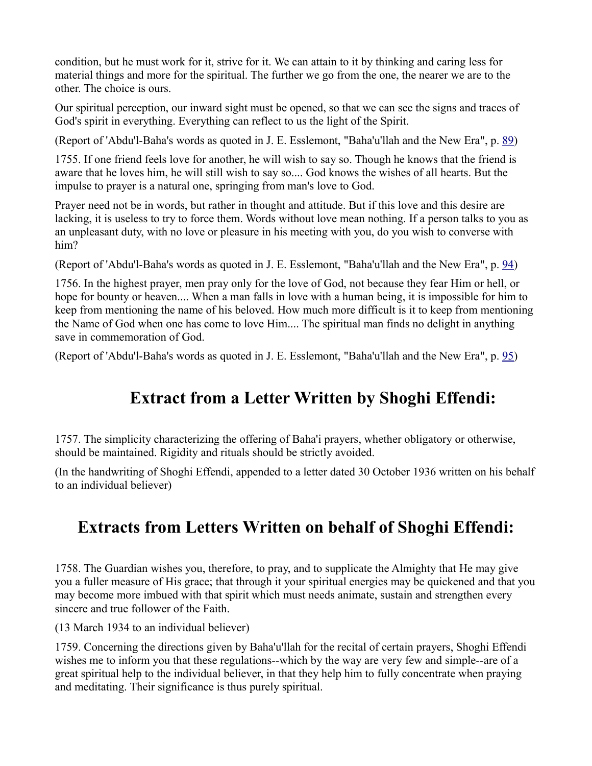condition, but he must work for it, strive for it. We can attain to it by thinking and caring less for material things and more for the spiritual. The further we go from the one, the nearer we are to the other. The choice is ours.

Our spiritual perception, our inward sight must be opened, so that we can see the signs and traces of God's spirit in everything. Everything can reflect to us the light of the Spirit.

(Report of 'Abdu'l-Baha's words as quoted in J. E. Esslemont, "Baha'u'llah and the New Era", p. [89\)](http://bahai-library.com/books/new.era/6.html#89)

1755. If one friend feels love for another, he will wish to say so. Though he knows that the friend is aware that he loves him, he will still wish to say so.... God knows the wishes of all hearts. But the impulse to prayer is a natural one, springing from man's love to God.

Prayer need not be in words, but rather in thought and attitude. But if this love and this desire are lacking, it is useless to try to force them. Words without love mean nothing. If a person talks to you as an unpleasant duty, with no love or pleasure in his meeting with you, do you wish to converse with him?

(Report of 'Abdu'l-Baha's words as quoted in J. E. Esslemont, "Baha'u'llah and the New Era", p. [94\)](http://bahai-library.com/books/new.era/6.html#94)

1756. In the highest prayer, men pray only for the love of God, not because they fear Him or hell, or hope for bounty or heaven.... When a man falls in love with a human being, it is impossible for him to keep from mentioning the name of his beloved. How much more difficult is it to keep from mentioning the Name of God when one has come to love Him.... The spiritual man finds no delight in anything save in commemoration of God.

(Report of 'Abdu'l-Baha's words as quoted in J. E. Esslemont, "Baha'u'llah and the New Era", p. [95\)](http://bahai-library.com/books/new.era/6.html#95)

# **Extract from a Letter Written by Shoghi Effendi:**

1757. The simplicity characterizing the offering of Baha'i prayers, whether obligatory or otherwise, should be maintained. Rigidity and rituals should be strictly avoided.

(In the handwriting of Shoghi Effendi, appended to a letter dated 30 October 1936 written on his behalf to an individual believer)

# **Extracts from Letters Written on behalf of Shoghi Effendi:**

1758. The Guardian wishes you, therefore, to pray, and to supplicate the Almighty that He may give you a fuller measure of His grace; that through it your spiritual energies may be quickened and that you may become more imbued with that spirit which must needs animate, sustain and strengthen every sincere and true follower of the Faith.

(13 March 1934 to an individual believer)

1759. Concerning the directions given by Baha'u'llah for the recital of certain prayers, Shoghi Effendi wishes me to inform you that these regulations--which by the way are very few and simple--are of a great spiritual help to the individual believer, in that they help him to fully concentrate when praying and meditating. Their significance is thus purely spiritual.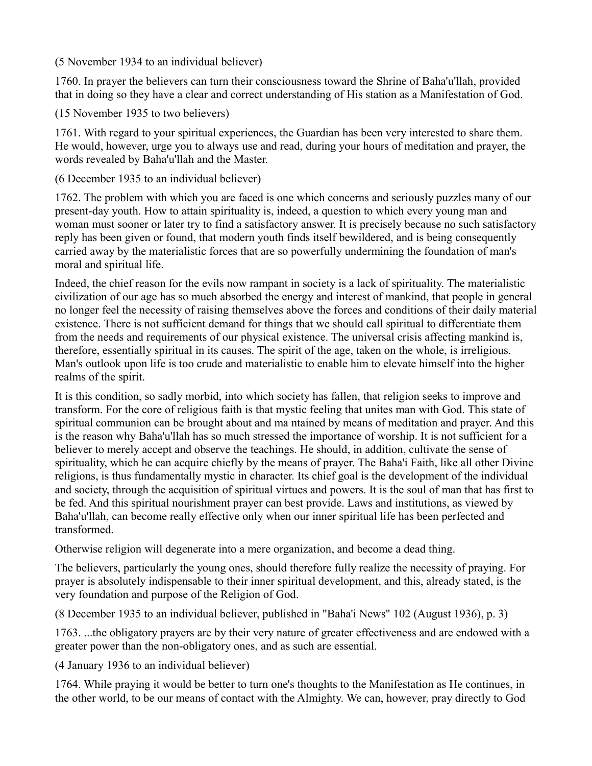(5 November 1934 to an individual believer)

1760. In prayer the believers can turn their consciousness toward the Shrine of Baha'u'llah, provided that in doing so they have a clear and correct understanding of His station as a Manifestation of God.

#### (15 November 1935 to two believers)

1761. With regard to your spiritual experiences, the Guardian has been very interested to share them. He would, however, urge you to always use and read, during your hours of meditation and prayer, the words revealed by Baha'u'llah and the Master.

#### (6 December 1935 to an individual believer)

1762. The problem with which you are faced is one which concerns and seriously puzzles many of our present-day youth. How to attain spirituality is, indeed, a question to which every young man and woman must sooner or later try to find a satisfactory answer. It is precisely because no such satisfactory reply has been given or found, that modern youth finds itself bewildered, and is being consequently carried away by the materialistic forces that are so powerfully undermining the foundation of man's moral and spiritual life.

Indeed, the chief reason for the evils now rampant in society is a lack of spirituality. The materialistic civilization of our age has so much absorbed the energy and interest of mankind, that people in general no longer feel the necessity of raising themselves above the forces and conditions of their daily material existence. There is not sufficient demand for things that we should call spiritual to differentiate them from the needs and requirements of our physical existence. The universal crisis affecting mankind is, therefore, essentially spiritual in its causes. The spirit of the age, taken on the whole, is irreligious. Man's outlook upon life is too crude and materialistic to enable him to elevate himself into the higher realms of the spirit.

It is this condition, so sadly morbid, into which society has fallen, that religion seeks to improve and transform. For the core of religious faith is that mystic feeling that unites man with God. This state of spiritual communion can be brought about and ma ntained by means of meditation and prayer. And this is the reason why Baha'u'llah has so much stressed the importance of worship. It is not sufficient for a believer to merely accept and observe the teachings. He should, in addition, cultivate the sense of spirituality, which he can acquire chiefly by the means of prayer. The Baha'i Faith, like all other Divine religions, is thus fundamentally mystic in character. Its chief goal is the development of the individual and society, through the acquisition of spiritual virtues and powers. It is the soul of man that has first to be fed. And this spiritual nourishment prayer can best provide. Laws and institutions, as viewed by Baha'u'llah, can become really effective only when our inner spiritual life has been perfected and transformed.

Otherwise religion will degenerate into a mere organization, and become a dead thing.

The believers, particularly the young ones, should therefore fully realize the necessity of praying. For prayer is absolutely indispensable to their inner spiritual development, and this, already stated, is the very foundation and purpose of the Religion of God.

(8 December 1935 to an individual believer, published in "Baha'i News" 102 (August 1936), p. 3)

1763. ...the obligatory prayers are by their very nature of greater effectiveness and are endowed with a greater power than the non-obligatory ones, and as such are essential.

(4 January 1936 to an individual believer)

1764. While praying it would be better to turn one's thoughts to the Manifestation as He continues, in the other world, to be our means of contact with the Almighty. We can, however, pray directly to God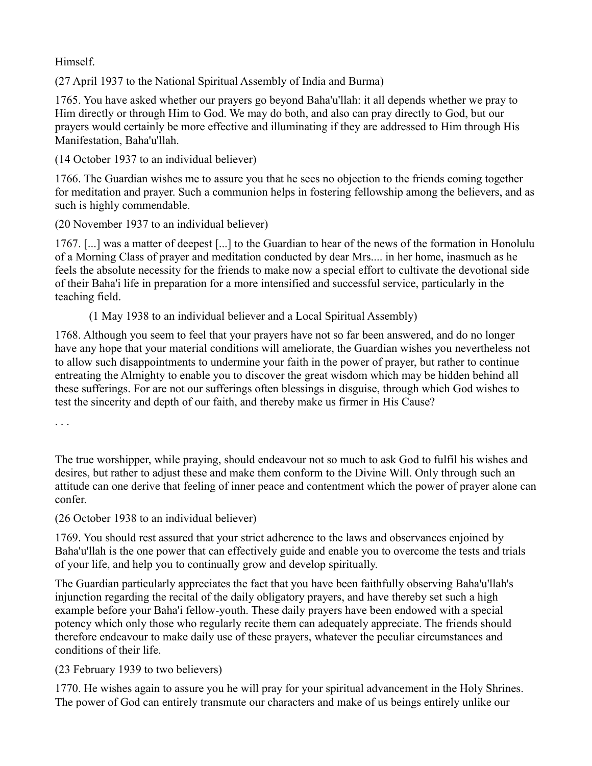Himself.

(27 April 1937 to the National Spiritual Assembly of India and Burma)

1765. You have asked whether our prayers go beyond Baha'u'llah: it all depends whether we pray to Him directly or through Him to God. We may do both, and also can pray directly to God, but our prayers would certainly be more effective and illuminating if they are addressed to Him through His Manifestation, Baha'u'llah.

(14 October 1937 to an individual believer)

1766. The Guardian wishes me to assure you that he sees no objection to the friends coming together for meditation and prayer. Such a communion helps in fostering fellowship among the believers, and as such is highly commendable.

(20 November 1937 to an individual believer)

1767. [...] was a matter of deepest [...] to the Guardian to hear of the news of the formation in Honolulu of a Morning Class of prayer and meditation conducted by dear Mrs.... in her home, inasmuch as he feels the absolute necessity for the friends to make now a special effort to cultivate the devotional side of their Baha'i life in preparation for a more intensified and successful service, particularly in the teaching field.

(1 May 1938 to an individual believer and a Local Spiritual Assembly)

1768. Although you seem to feel that your prayers have not so far been answered, and do no longer have any hope that your material conditions will ameliorate, the Guardian wishes you nevertheless not to allow such disappointments to undermine your faith in the power of prayer, but rather to continue entreating the Almighty to enable you to discover the great wisdom which may be hidden behind all these sufferings. For are not our sufferings often blessings in disguise, through which God wishes to test the sincerity and depth of our faith, and thereby make us firmer in His Cause?

. . .

The true worshipper, while praying, should endeavour not so much to ask God to fulfil his wishes and desires, but rather to adjust these and make them conform to the Divine Will. Only through such an attitude can one derive that feeling of inner peace and contentment which the power of prayer alone can confer.

(26 October 1938 to an individual believer)

1769. You should rest assured that your strict adherence to the laws and observances enjoined by Baha'u'llah is the one power that can effectively guide and enable you to overcome the tests and trials of your life, and help you to continually grow and develop spiritually.

The Guardian particularly appreciates the fact that you have been faithfully observing Baha'u'llah's injunction regarding the recital of the daily obligatory prayers, and have thereby set such a high example before your Baha'i fellow-youth. These daily prayers have been endowed with a special potency which only those who regularly recite them can adequately appreciate. The friends should therefore endeavour to make daily use of these prayers, whatever the peculiar circumstances and conditions of their life.

(23 February 1939 to two believers)

1770. He wishes again to assure you he will pray for your spiritual advancement in the Holy Shrines. The power of God can entirely transmute our characters and make of us beings entirely unlike our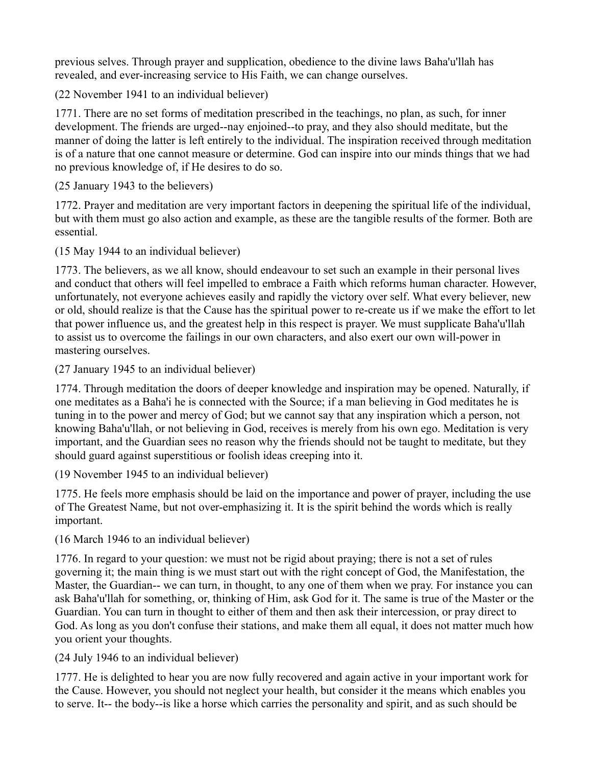previous selves. Through prayer and supplication, obedience to the divine laws Baha'u'llah has revealed, and ever-increasing service to His Faith, we can change ourselves.

(22 November 1941 to an individual believer)

1771. There are no set forms of meditation prescribed in the teachings, no plan, as such, for inner development. The friends are urged--nay enjoined--to pray, and they also should meditate, but the manner of doing the latter is left entirely to the individual. The inspiration received through meditation is of a nature that one cannot measure or determine. God can inspire into our minds things that we had no previous knowledge of, if He desires to do so.

(25 January 1943 to the believers)

1772. Prayer and meditation are very important factors in deepening the spiritual life of the individual, but with them must go also action and example, as these are the tangible results of the former. Both are essential.

(15 May 1944 to an individual believer)

1773. The believers, as we all know, should endeavour to set such an example in their personal lives and conduct that others will feel impelled to embrace a Faith which reforms human character. However, unfortunately, not everyone achieves easily and rapidly the victory over self. What every believer, new or old, should realize is that the Cause has the spiritual power to re-create us if we make the effort to let that power influence us, and the greatest help in this respect is prayer. We must supplicate Baha'u'llah to assist us to overcome the failings in our own characters, and also exert our own will-power in mastering ourselves.

(27 January 1945 to an individual believer)

1774. Through meditation the doors of deeper knowledge and inspiration may be opened. Naturally, if one meditates as a Baha'i he is connected with the Source; if a man believing in God meditates he is tuning in to the power and mercy of God; but we cannot say that any inspiration which a person, not knowing Baha'u'llah, or not believing in God, receives is merely from his own ego. Meditation is very important, and the Guardian sees no reason why the friends should not be taught to meditate, but they should guard against superstitious or foolish ideas creeping into it.

(19 November 1945 to an individual believer)

1775. He feels more emphasis should be laid on the importance and power of prayer, including the use of The Greatest Name, but not over-emphasizing it. It is the spirit behind the words which is really important.

(16 March 1946 to an individual believer)

1776. In regard to your question: we must not be rigid about praying; there is not a set of rules governing it; the main thing is we must start out with the right concept of God, the Manifestation, the Master, the Guardian-- we can turn, in thought, to any one of them when we pray. For instance you can ask Baha'u'llah for something, or, thinking of Him, ask God for it. The same is true of the Master or the Guardian. You can turn in thought to either of them and then ask their intercession, or pray direct to God. As long as you don't confuse their stations, and make them all equal, it does not matter much how you orient your thoughts.

(24 July 1946 to an individual believer)

1777. He is delighted to hear you are now fully recovered and again active in your important work for the Cause. However, you should not neglect your health, but consider it the means which enables you to serve. It-- the body--is like a horse which carries the personality and spirit, and as such should be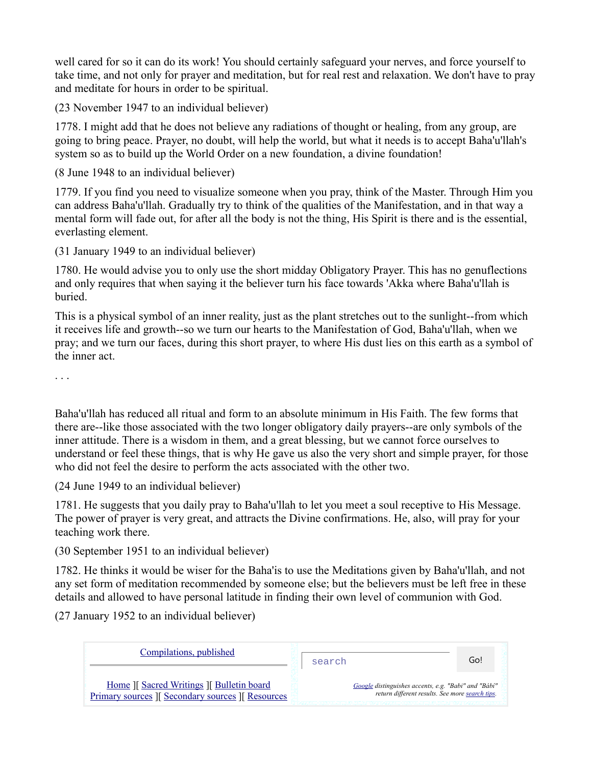well cared for so it can do its work! You should certainly safeguard your nerves, and force yourself to take time, and not only for prayer and meditation, but for real rest and relaxation. We don't have to pray and meditate for hours in order to be spiritual.

(23 November 1947 to an individual believer)

1778. I might add that he does not believe any radiations of thought or healing, from any group, are going to bring peace. Prayer, no doubt, will help the world, but what it needs is to accept Baha'u'llah's system so as to build up the World Order on a new foundation, a divine foundation!

(8 June 1948 to an individual believer)

1779. If you find you need to visualize someone when you pray, think of the Master. Through Him you can address Baha'u'llah. Gradually try to think of the qualities of the Manifestation, and in that way a mental form will fade out, for after all the body is not the thing, His Spirit is there and is the essential, everlasting element.

(31 January 1949 to an individual believer)

1780. He would advise you to only use the short midday Obligatory Prayer. This has no genuflections and only requires that when saying it the believer turn his face towards 'Akka where Baha'u'llah is buried.

This is a physical symbol of an inner reality, just as the plant stretches out to the sunlight--from which it receives life and growth--so we turn our hearts to the Manifestation of God, Baha'u'llah, when we pray; and we turn our faces, during this short prayer, to where His dust lies on this earth as a symbol of the inner act.

. . .

Baha'u'llah has reduced all ritual and form to an absolute minimum in His Faith. The few forms that there are--like those associated with the two longer obligatory daily prayers--are only symbols of the inner attitude. There is a wisdom in them, and a great blessing, but we cannot force ourselves to understand or feel these things, that is why He gave us also the very short and simple prayer, for those who did not feel the desire to perform the acts associated with the other two.

(24 June 1949 to an individual believer)

1781. He suggests that you daily pray to Baha'u'llah to let you meet a soul receptive to His Message. The power of prayer is very great, and attracts the Divine confirmations. He, also, will pray for your teaching work there.

(30 September 1951 to an individual believer)

1782. He thinks it would be wiser for the Baha'is to use the Meditations given by Baha'u'llah, and not any set form of meditation recommended by someone else; but the believers must be left free in these details and allowed to have personal latitude in finding their own level of communion with God.

(27 January 1952 to an individual believer)

| Compilations, published                                                                               | search | Go!                                                                                                     |  |
|-------------------------------------------------------------------------------------------------------|--------|---------------------------------------------------------------------------------------------------------|--|
| Home J[ Sacred Writings J[ Bulletin board<br><b>Primary sources II Secondary sources II Resources</b> |        | Google distinguishes accents, e.g. "Babi" and "Bábí"<br>return different results. See more search tips. |  |